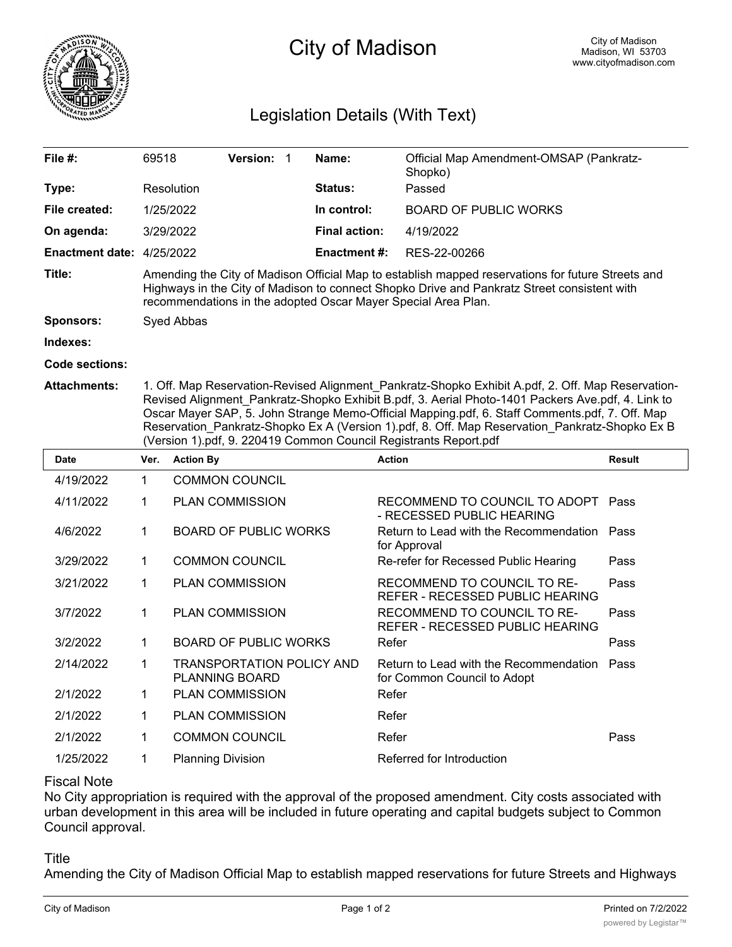

# City of Madison

## Legislation Details (With Text)

| File $#$ :             | 69518                                                                                                                                                                                                                                                             | <b>Version:</b> |  | Name:                | Official Map Amendment-OMSAP (Pankratz-<br>Shopko) |  |  |
|------------------------|-------------------------------------------------------------------------------------------------------------------------------------------------------------------------------------------------------------------------------------------------------------------|-----------------|--|----------------------|----------------------------------------------------|--|--|
| Type:                  | Resolution                                                                                                                                                                                                                                                        |                 |  | <b>Status:</b>       | Passed                                             |  |  |
| File created:          | 1/25/2022                                                                                                                                                                                                                                                         |                 |  | In control:          | <b>BOARD OF PUBLIC WORKS</b>                       |  |  |
| On agenda:             | 3/29/2022                                                                                                                                                                                                                                                         |                 |  | <b>Final action:</b> | 4/19/2022                                          |  |  |
| <b>Enactment date:</b> | 4/25/2022                                                                                                                                                                                                                                                         |                 |  | <b>Enactment #:</b>  | RES-22-00266                                       |  |  |
| Title:                 | Amending the City of Madison Official Map to establish mapped reservations for future Streets and<br>Highways in the City of Madison to connect Shopko Drive and Pankratz Street consistent with<br>recommendations in the adopted Oscar Mayer Special Area Plan. |                 |  |                      |                                                    |  |  |
| <b>Sponsors:</b>       | Syed Abbas                                                                                                                                                                                                                                                        |                 |  |                      |                                                    |  |  |
| Indexes:               |                                                                                                                                                                                                                                                                   |                 |  |                      |                                                    |  |  |
| Code sections:         |                                                                                                                                                                                                                                                                   |                 |  |                      |                                                    |  |  |
|                        |                                                                                                                                                                                                                                                                   |                 |  |                      |                                                    |  |  |

**Attachments:** 1. Off. Map Reservation-Revised Alignment\_Pankratz-Shopko Exhibit A.pdf, 2. Off. Map Reservation-Revised Alignment\_Pankratz-Shopko Exhibit B.pdf, 3. Aerial Photo-1401 Packers Ave.pdf, 4. Link to Oscar Mayer SAP, 5. John Strange Memo-Official Mapping.pdf, 6. Staff Comments.pdf, 7. Off. Map Reservation\_Pankratz-Shopko Ex A (Version 1).pdf, 8. Off. Map Reservation\_Pankratz-Shopko Ex B (Version 1).pdf, 9. 220419 Common Council Registrants Report.pdf

| <b>Date</b> | Ver. | <b>Action By</b>                                   | <b>Action</b>                                                         | <b>Result</b> |
|-------------|------|----------------------------------------------------|-----------------------------------------------------------------------|---------------|
| 4/19/2022   | 1    | <b>COMMON COUNCIL</b>                              |                                                                       |               |
| 4/11/2022   | 1    | <b>PLAN COMMISSION</b>                             | RECOMMEND TO COUNCIL TO ADOPT Pass<br>- RECESSED PUBLIC HEARING       |               |
| 4/6/2022    | 1    | <b>BOARD OF PUBLIC WORKS</b>                       | Return to Lead with the Recommendation Pass<br>for Approval           |               |
| 3/29/2022   | 1    | <b>COMMON COUNCIL</b>                              | Re-refer for Recessed Public Hearing                                  | Pass          |
| 3/21/2022   | 1    | <b>PLAN COMMISSION</b>                             | RECOMMEND TO COUNCIL TO RE-<br>REFER - RECESSED PUBLIC HEARING        | Pass          |
| 3/7/2022    | 1    | <b>PLAN COMMISSION</b>                             | RECOMMEND TO COUNCIL TO RE-<br>REFER - RECESSED PUBLIC HEARING        | Pass          |
| 3/2/2022    | 1    | <b>BOARD OF PUBLIC WORKS</b>                       | Refer                                                                 | Pass          |
| 2/14/2022   | 1    | TRANSPORTATION POLICY AND<br><b>PLANNING BOARD</b> | Return to Lead with the Recommendation<br>for Common Council to Adopt | Pass          |
| 2/1/2022    | 1    | <b>PLAN COMMISSION</b>                             | Refer                                                                 |               |
| 2/1/2022    | 1    | <b>PLAN COMMISSION</b>                             | Refer                                                                 |               |
| 2/1/2022    | 1    | <b>COMMON COUNCIL</b>                              | Refer                                                                 | Pass          |
| 1/25/2022   | 1    | <b>Planning Division</b>                           | Referred for Introduction                                             |               |

#### Fiscal Note

No City appropriation is required with the approval of the proposed amendment. City costs associated with urban development in this area will be included in future operating and capital budgets subject to Common Council approval.

#### Title

Amending the City of Madison Official Map to establish mapped reservations for future Streets and Highways